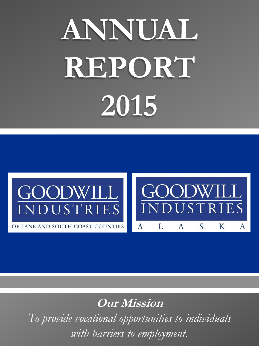# **ANNUAL REPORT 2015**



OF LANE AND SOUTH COAST COUNTIES A



**Our Mission**

*To provide vocational opportunities to individuals with barriers to employment.*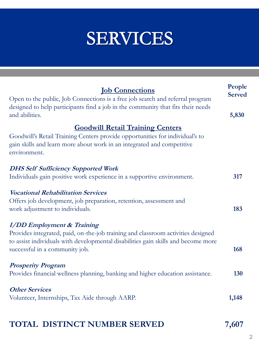### **SERVICES**

| <b><u>Iob Connections</u></b><br>Open to the public, Job Connections is a free job search and referral program<br>designed to help participants find a job in the community that fits their needs<br>and abilities.                          | People<br><b>Served</b><br>5,830 |
|----------------------------------------------------------------------------------------------------------------------------------------------------------------------------------------------------------------------------------------------|----------------------------------|
| <b>Goodwill Retail Training Centers</b><br>Goodwill's Retail Training Centers provide opportunities for individual's to<br>gain skills and learn more about work in an integrated and competitive<br>environment.                            |                                  |
| <b>DHS Self Sufficiency Supported Work</b><br>Individuals gain positive work experience in a supportive environment.                                                                                                                         | 317                              |
| <b>Vocational Rehabilitation Services</b><br>Offers job development, job preparation, retention, assessment and<br>work adjustment to individuals.                                                                                           | 183                              |
| <b>I/DD</b> Employment & Training<br>Provides integrated, paid, on-the-job training and classroom activities designed<br>to assist individuals with developmental disabilities gain skills and become more<br>successful in a community job. | 168                              |
| <b>Prosperity Program</b><br>Provides financial wellness planning, banking and higher education assistance.                                                                                                                                  | 130                              |
| <b>Other Services</b><br>Volunteer, Internships, Tax Aide through AARP.                                                                                                                                                                      | 1,148                            |

#### **TOTAL DISTINCT NUMBER SERVED 7,607**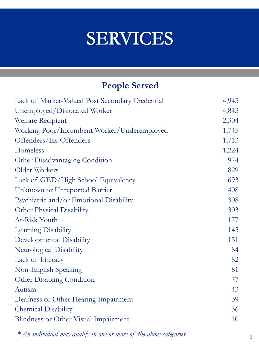### **SERVICES**

### **People Served**

| 4,843<br>Unemployed/Dislocated Worker<br>2,304<br>Welfare Recipient<br>1,745<br>1,713<br>Offenders/Ex-Offenders<br>1,224<br>974<br>829<br>693<br>408<br>308<br>303<br>177<br>145<br>131<br>84<br>82<br>81<br>77<br>43<br>39<br>36<br>10 | Lack of Market-Valued Post Secondary Credential | 4,945 |
|-----------------------------------------------------------------------------------------------------------------------------------------------------------------------------------------------------------------------------------------|-------------------------------------------------|-------|
|                                                                                                                                                                                                                                         |                                                 |       |
|                                                                                                                                                                                                                                         |                                                 |       |
|                                                                                                                                                                                                                                         | Working Poor/Incumbent Worker/Underemployed     |       |
|                                                                                                                                                                                                                                         |                                                 |       |
|                                                                                                                                                                                                                                         | Homeless                                        |       |
|                                                                                                                                                                                                                                         | Other Disadvantaging Condition                  |       |
|                                                                                                                                                                                                                                         | Older Workers                                   |       |
|                                                                                                                                                                                                                                         | Lack of GED/High School Equivalency             |       |
|                                                                                                                                                                                                                                         | Unknown or Unreported Barrier                   |       |
|                                                                                                                                                                                                                                         | Psychiatric and/or Emotional Disability         |       |
|                                                                                                                                                                                                                                         | Other Physical Disability                       |       |
|                                                                                                                                                                                                                                         | At-Risk Youth                                   |       |
|                                                                                                                                                                                                                                         | Learning Disability                             |       |
|                                                                                                                                                                                                                                         | Developmental Disability                        |       |
|                                                                                                                                                                                                                                         | Neurological Disability                         |       |
|                                                                                                                                                                                                                                         | Lack of Literacy                                |       |
|                                                                                                                                                                                                                                         | Non-English Speaking                            |       |
|                                                                                                                                                                                                                                         | <b>Other Disabling Condition</b>                |       |
|                                                                                                                                                                                                                                         | Autism                                          |       |
|                                                                                                                                                                                                                                         | Deafness or Other Hearing Impairment            |       |
|                                                                                                                                                                                                                                         | <b>Chemical Disability</b>                      |       |
|                                                                                                                                                                                                                                         | Blindness or Other Visual Impairment            |       |

\**An individual may qualify in one or more of the above categories.*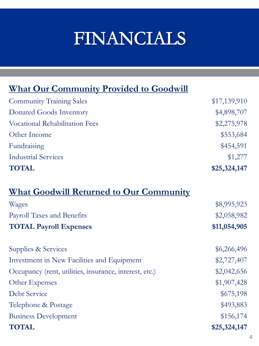## FINANCIALS

#### **What Our Community Provided to Goodwill**

| <b>Community Training Sales</b>       | \$17,139,910 |
|---------------------------------------|--------------|
| Donated Goods Inventory               | \$4,898,707  |
| <b>Vocational Rehabilitation Fees</b> | \$2,275,978  |
| Other Income                          | \$553,684    |
| Fundraising                           | \$454,591    |
| <b>Industrial Services</b>            | \$1,277      |
| <b>TOTAL</b>                          | \$25,324,147 |

#### **What Goodwill Returned to Our Community**

| Wages                                                  | \$8,995,923  |
|--------------------------------------------------------|--------------|
| Payroll Taxes and Benefits                             | \$2,058,982  |
| <b>TOTAL Payroll Expenses</b>                          | \$11,054,905 |
| Supplies & Services                                    | \$6,266,496  |
| Investment in New Facilities and Equipment             | \$2,727,407  |
| Occupancy (rent, utilities, insurance, interest, etc.) | \$2,042,656  |
| Other Expenses                                         | \$1,907,428  |
| Debt Service                                           | \$675,198    |
| Telephone & Postage                                    | \$493,883    |
| <b>Business Development</b>                            | \$156,174    |
| <b>TOTAL</b>                                           | \$25,324,147 |